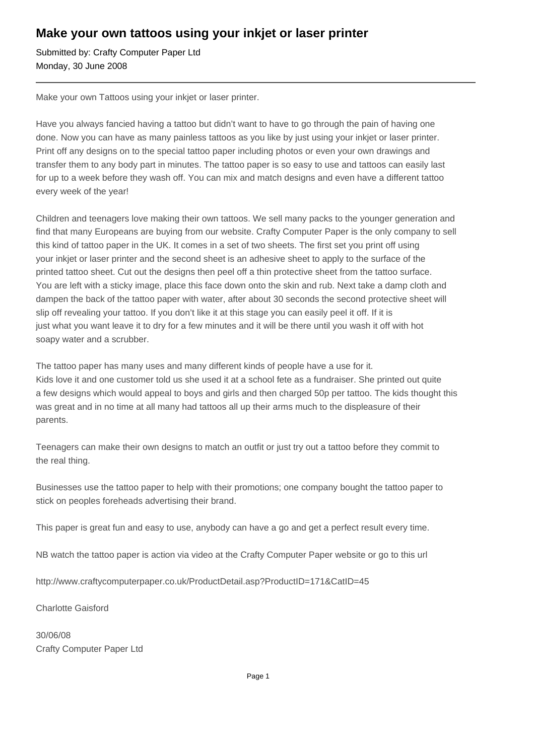## **Make your own tattoos using your inkjet or laser printer**

Submitted by: Crafty Computer Paper Ltd Monday, 30 June 2008

Make your own Tattoos using your inkjet or laser printer.

Have you always fancied having a tattoo but didn't want to have to go through the pain of having one done. Now you can have as many painless tattoos as you like by just using your inkjet or laser printer. Print off any designs on to the special tattoo paper including photos or even your own drawings and transfer them to any body part in minutes. The tattoo paper is so easy to use and tattoos can easily last for up to a week before they wash off. You can mix and match designs and even have a different tattoo every week of the year!

Children and teenagers love making their own tattoos. We sell many packs to the younger generation and find that many Europeans are buying from our website. Crafty Computer Paper is the only company to sell this kind of tattoo paper in the UK. It comes in a set of two sheets. The first set you print off using your inkjet or laser printer and the second sheet is an adhesive sheet to apply to the surface of the printed tattoo sheet. Cut out the designs then peel off a thin protective sheet from the tattoo surface. You are left with a sticky image, place this face down onto the skin and rub. Next take a damp cloth and dampen the back of the tattoo paper with water, after about 30 seconds the second protective sheet will slip off revealing your tattoo. If you don't like it at this stage you can easily peel it off. If it is just what you want leave it to dry for a few minutes and it will be there until you wash it off with hot soapy water and a scrubber.

The tattoo paper has many uses and many different kinds of people have a use for it. Kids love it and one customer told us she used it at a school fete as a fundraiser. She printed out quite a few designs which would appeal to boys and girls and then charged 50p per tattoo. The kids thought this was great and in no time at all many had tattoos all up their arms much to the displeasure of their parents.

Teenagers can make their own designs to match an outfit or just try out a tattoo before they commit to the real thing.

Businesses use the tattoo paper to help with their promotions; one company bought the tattoo paper to stick on peoples foreheads advertising their brand.

This paper is great fun and easy to use, anybody can have a go and get a perfect result every time.

NB watch the tattoo paper is action via video at the Crafty Computer Paper website or go to this url

http://www.craftycomputerpaper.co.uk/ProductDetail.asp?ProductID=171&CatID=45

Charlotte Gaisford

30/06/08 Crafty Computer Paper Ltd